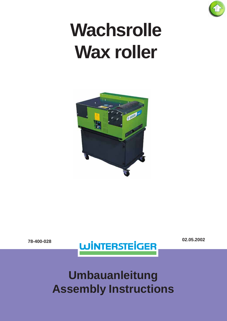

# **Wachsrolle Wax roller**





# **Umbauanleitung Assembly Instructions**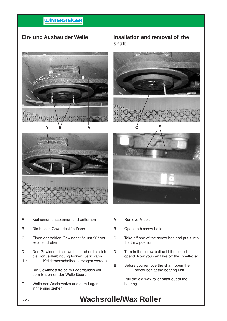### **WINTERSTEIGER**

#### **Ein- und Ausbau der Welle**

#### **Insallation and removal of the shaft**







- **A** Keilriemen entspannen und entfernen
- **B** Die beiden Gewindestifte lösen
- **C** Einen der beiden Gewindestifte um 90° versetzt eindrehen.
- **D** Den Gewindestift so weit eindrehen bis sich die Konus-Verbindung lockert. Jetzt kann
- die Keilriemenscheibeabgezogen werden.
- **E** Die Gewindestifte beim Lagerflansch vor dem Entfernen der Welle lösen.
- **F** Welle der Wachswalze aus dem Lagerinnnenring ziehen.
- **A** Remove V-belt
- **B** Open both screw-bolts
- **C** Take off one of the screw-bolt and put it into the third position.
- **D** Turn in the screw-bolt until the cone is opend. Now you can take off the V-belt-disc.
- **E** Before you remove the shaft, open the screw-bolt at the bearing unit.
- **F** Pull the old wax roller shaft out of the bearing.

## **- 2 - Wachsrolle/Wax Roller**